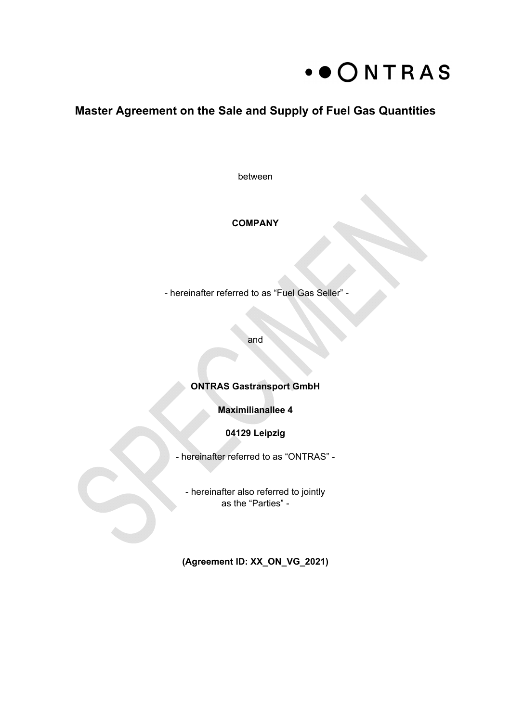

# **Master Agreement on the Sale and Supply of Fuel Gas Quantities**

between

### **COMPANY**

- hereinafter referred to as "Fuel Gas Seller" -

and

# **ONTRAS Gastransport GmbH**

**Maximilianallee 4** 

**04129 Leipzig** 

- hereinafter referred to as "ONTRAS" -

- hereinafter also referred to jointly as the "Parties" -

**(Agreement ID: XX\_ON\_VG\_2021)**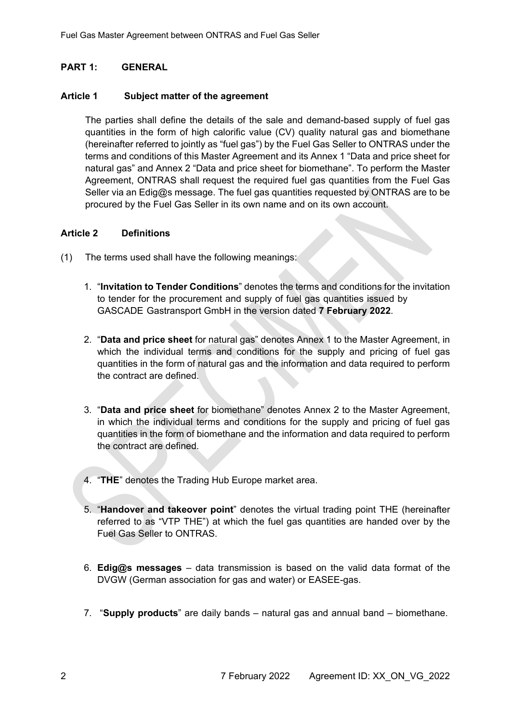# **PART 1: GENERAL**

#### **Article 1 Subject matter of the agreement**

The parties shall define the details of the sale and demand-based supply of fuel gas quantities in the form of high calorific value (CV) quality natural gas and biomethane (hereinafter referred to jointly as "fuel gas") by the Fuel Gas Seller to ONTRAS under the terms and conditions of this Master Agreement and its Annex 1 "Data and price sheet for natural gas" and Annex 2 "Data and price sheet for biomethane". To perform the Master Agreement, ONTRAS shall request the required fuel gas quantities from the Fuel Gas Seller via an Edig@s message. The fuel gas quantities requested by ONTRAS are to be procured by the Fuel Gas Seller in its own name and on its own account.

#### **Article 2 Definitions**

- (1) The terms used shall have the following meanings:
	- 1. "**Invitation to Tender Conditions**" denotes the terms and conditions for the invitation to tender for the procurement and supply of fuel gas quantities issued by GASCADE Gastransport GmbH in the version dated **7 February 2022**.
	- 2. "**Data and price sheet** for natural gas" denotes Annex 1 to the Master Agreement, in which the individual terms and conditions for the supply and pricing of fuel gas quantities in the form of natural gas and the information and data required to perform the contract are defined.
	- 3. "**Data and price sheet** for biomethane" denotes Annex 2 to the Master Agreement, in which the individual terms and conditions for the supply and pricing of fuel gas quantities in the form of biomethane and the information and data required to perform the contract are defined.
	- 4. "**THE**" denotes the Trading Hub Europe market area.
	- 5. "**Handover and takeover point**" denotes the virtual trading point THE (hereinafter referred to as "VTP THE") at which the fuel gas quantities are handed over by the Fuel Gas Seller to ONTRAS.
	- 6. **Edig@s messages** data transmission is based on the valid data format of the DVGW (German association for gas and water) or EASEE-gas.
	- 7. "**Supply products**" are daily bands natural gas and annual band biomethane.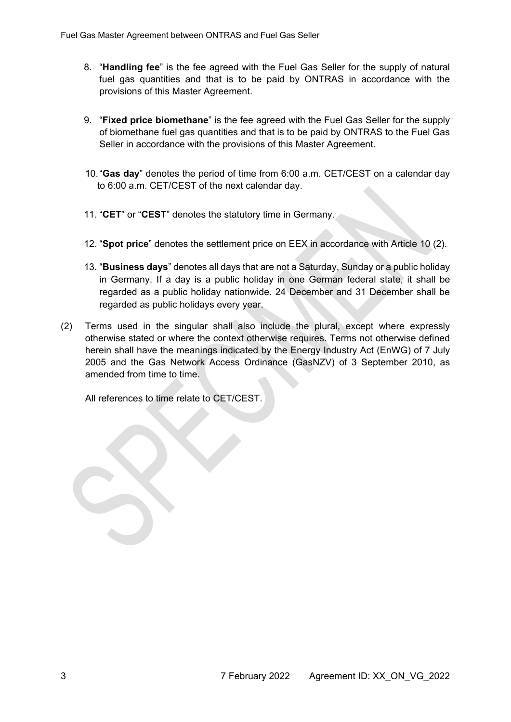- 8. "**Handling fee**" is the fee agreed with the Fuel Gas Seller for the supply of natural fuel gas quantities and that is to be paid by ONTRAS in accordance with the provisions of this Master Agreement.
- 9. "**Fixed price biomethane**" is the fee agreed with the Fuel Gas Seller for the supply of biomethane fuel gas quantities and that is to be paid by ONTRAS to the Fuel Gas Seller in accordance with the provisions of this Master Agreement.
- 10. "**Gas day**" denotes the period of time from 6:00 a.m. CET/CEST on a calendar day to 6:00 a.m. CET/CEST of the next calendar day.
- 11. "**CET**" or "**CEST**" denotes the statutory time in Germany.
- 12. "**Spot price**" denotes the settlement price on EEX in accordance with Article 10 (2).
- 13. "**Business days**" denotes all days that are not a Saturday, Sunday or a public holiday in Germany. If a day is a public holiday in one German federal state, it shall be regarded as a public holiday nationwide. 24 December and 31 December shall be regarded as public holidays every year.
- (2) Terms used in the singular shall also include the plural, except where expressly otherwise stated or where the context otherwise requires. Terms not otherwise defined herein shall have the meanings indicated by the Energy Industry Act (EnWG) of 7 July 2005 and the Gas Network Access Ordinance (GasNZV) of 3 September 2010, as amended from time to time.

All references to time relate to CET/CEST.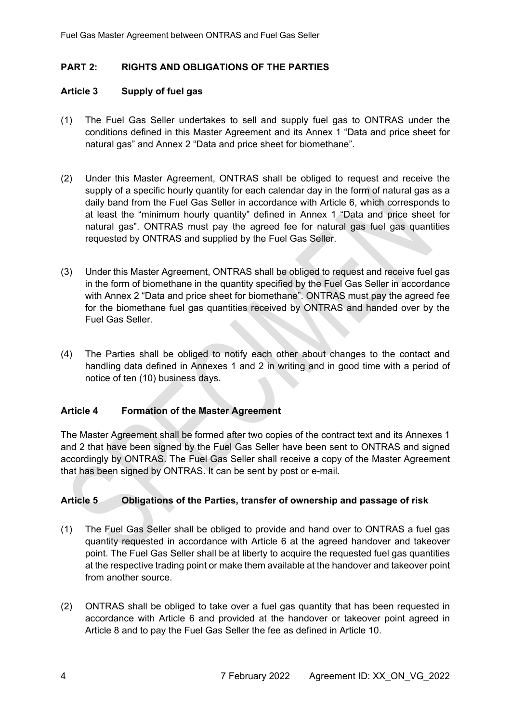# **PART 2: RIGHTS AND OBLIGATIONS OF THE PARTIES**

### **Article 3 Supply of fuel gas**

- (1) The Fuel Gas Seller undertakes to sell and supply fuel gas to ONTRAS under the conditions defined in this Master Agreement and its Annex 1 "Data and price sheet for natural gas" and Annex 2 "Data and price sheet for biomethane".
- (2) Under this Master Agreement, ONTRAS shall be obliged to request and receive the supply of a specific hourly quantity for each calendar day in the form of natural gas as a daily band from the Fuel Gas Seller in accordance with Article 6, which corresponds to at least the "minimum hourly quantity" defined in Annex 1 "Data and price sheet for natural gas". ONTRAS must pay the agreed fee for natural gas fuel gas quantities requested by ONTRAS and supplied by the Fuel Gas Seller.
- (3) Under this Master Agreement, ONTRAS shall be obliged to request and receive fuel gas in the form of biomethane in the quantity specified by the Fuel Gas Seller in accordance with Annex 2 "Data and price sheet for biomethane". ONTRAS must pay the agreed fee for the biomethane fuel gas quantities received by ONTRAS and handed over by the Fuel Gas Seller.
- (4) The Parties shall be obliged to notify each other about changes to the contact and handling data defined in Annexes 1 and 2 in writing and in good time with a period of notice of ten (10) business days.

#### **Article 4 Formation of the Master Agreement**

The Master Agreement shall be formed after two copies of the contract text and its Annexes 1 and 2 that have been signed by the Fuel Gas Seller have been sent to ONTRAS and signed accordingly by ONTRAS. The Fuel Gas Seller shall receive a copy of the Master Agreement that has been signed by ONTRAS. It can be sent by post or e-mail.

# **Article 5 Obligations of the Parties, transfer of ownership and passage of risk**

- (1) The Fuel Gas Seller shall be obliged to provide and hand over to ONTRAS a fuel gas quantity requested in accordance with Article 6 at the agreed handover and takeover point. The Fuel Gas Seller shall be at liberty to acquire the requested fuel gas quantities at the respective trading point or make them available at the handover and takeover point from another source.
- (2) ONTRAS shall be obliged to take over a fuel gas quantity that has been requested in accordance with Article 6 and provided at the handover or takeover point agreed in Article 8 and to pay the Fuel Gas Seller the fee as defined in Article 10.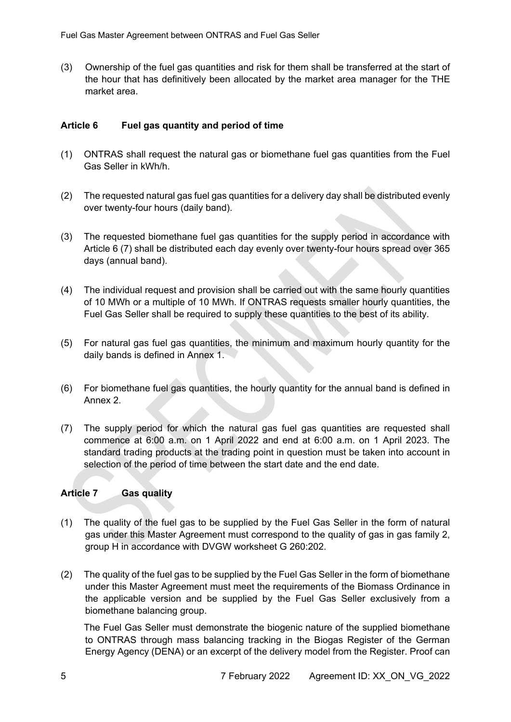(3) Ownership of the fuel gas quantities and risk for them shall be transferred at the start of the hour that has definitively been allocated by the market area manager for the THE market area.

# **Article 6 Fuel gas quantity and period of time**

- (1) ONTRAS shall request the natural gas or biomethane fuel gas quantities from the Fuel Gas Seller in kWh/h.
- (2) The requested natural gas fuel gas quantities for a delivery day shall be distributed evenly over twenty-four hours (daily band).
- (3) The requested biomethane fuel gas quantities for the supply period in accordance with Article 6 (7) shall be distributed each day evenly over twenty-four hours spread over 365 days (annual band).
- (4) The individual request and provision shall be carried out with the same hourly quantities of 10 MWh or a multiple of 10 MWh. If ONTRAS requests smaller hourly quantities, the Fuel Gas Seller shall be required to supply these quantities to the best of its ability.
- (5) For natural gas fuel gas quantities, the minimum and maximum hourly quantity for the daily bands is defined in Annex 1.
- (6) For biomethane fuel gas quantities, the hourly quantity for the annual band is defined in Annex 2.
- (7) The supply period for which the natural gas fuel gas quantities are requested shall commence at 6:00 a.m. on 1 April 2022 and end at 6:00 a.m. on 1 April 2023. The standard trading products at the trading point in question must be taken into account in selection of the period of time between the start date and the end date.

# **Article 7 Gas quality**

- (1) The quality of the fuel gas to be supplied by the Fuel Gas Seller in the form of natural gas under this Master Agreement must correspond to the quality of gas in gas family 2, group H in accordance with DVGW worksheet G 260:202.
- (2) The quality of the fuel gas to be supplied by the Fuel Gas Seller in the form of biomethane under this Master Agreement must meet the requirements of the Biomass Ordinance in the applicable version and be supplied by the Fuel Gas Seller exclusively from a biomethane balancing group.

 The Fuel Gas Seller must demonstrate the biogenic nature of the supplied biomethane to ONTRAS through mass balancing tracking in the Biogas Register of the German Energy Agency (DENA) or an excerpt of the delivery model from the Register. Proof can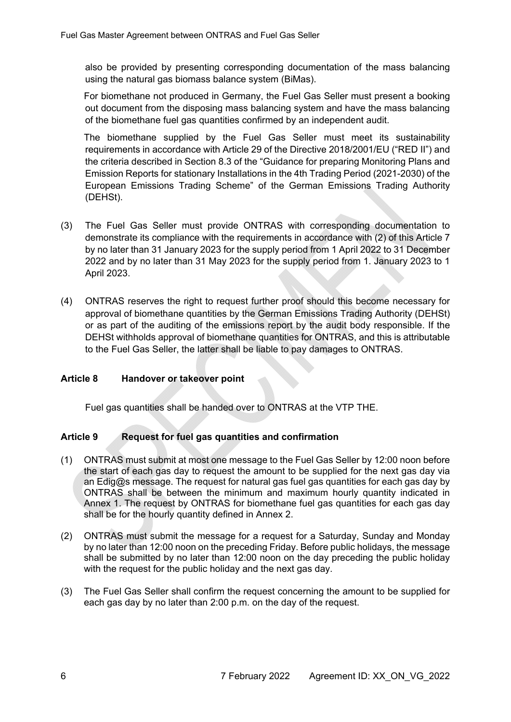also be provided by presenting corresponding documentation of the mass balancing using the natural gas biomass balance system (BiMas).

 For biomethane not produced in Germany, the Fuel Gas Seller must present a booking out document from the disposing mass balancing system and have the mass balancing of the biomethane fuel gas quantities confirmed by an independent audit.

 The biomethane supplied by the Fuel Gas Seller must meet its sustainability requirements in accordance with Article 29 of the Directive 2018/2001/EU ("RED II") and the criteria described in Section 8.3 of the "Guidance for preparing Monitoring Plans and Emission Reports for stationary Installations in the 4th Trading Period (2021-2030) of the European Emissions Trading Scheme" of the German Emissions Trading Authority (DEHSt).

- (3) The Fuel Gas Seller must provide ONTRAS with corresponding documentation to demonstrate its compliance with the requirements in accordance with (2) of this Article 7 by no later than 31 January 2023 for the supply period from 1 April 2022 to 31 December 2022 and by no later than 31 May 2023 for the supply period from 1. January 2023 to 1 April 2023.
- (4) ONTRAS reserves the right to request further proof should this become necessary for approval of biomethane quantities by the German Emissions Trading Authority (DEHSt) or as part of the auditing of the emissions report by the audit body responsible. If the DEHSt withholds approval of biomethane quantities for ONTRAS, and this is attributable to the Fuel Gas Seller, the latter shall be liable to pay damages to ONTRAS.

#### **Article 8 Handover or takeover point**

Fuel gas quantities shall be handed over to ONTRAS at the VTP THE.

#### **Article 9 Request for fuel gas quantities and confirmation**

- (1) ONTRAS must submit at most one message to the Fuel Gas Seller by 12:00 noon before the start of each gas day to request the amount to be supplied for the next gas day via an  $Edig@s$  message. The request for natural gas fuel gas quantities for each gas day by ONTRAS shall be between the minimum and maximum hourly quantity indicated in Annex 1. The request by ONTRAS for biomethane fuel gas quantities for each gas day shall be for the hourly quantity defined in Annex 2.
- (2) ONTRAS must submit the message for a request for a Saturday, Sunday and Monday by no later than 12:00 noon on the preceding Friday. Before public holidays, the message shall be submitted by no later than 12:00 noon on the day preceding the public holiday with the request for the public holiday and the next gas day.
- (3) The Fuel Gas Seller shall confirm the request concerning the amount to be supplied for each gas day by no later than 2:00 p.m. on the day of the request.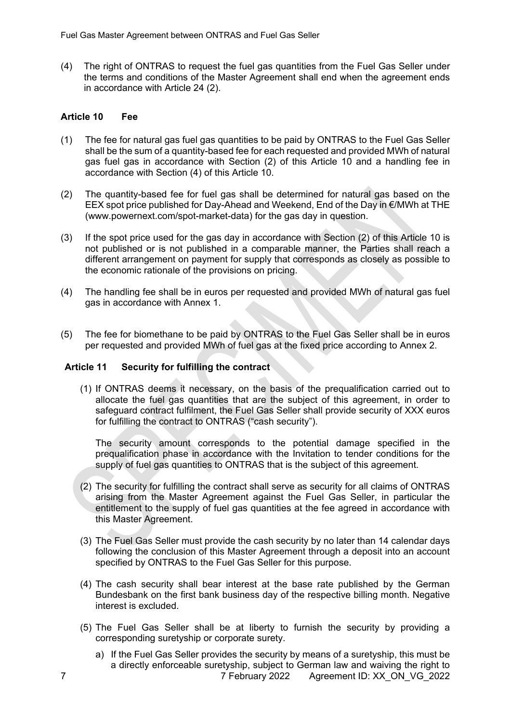(4) The right of ONTRAS to request the fuel gas quantities from the Fuel Gas Seller under the terms and conditions of the Master Agreement shall end when the agreement ends in accordance with Article 24 (2).

### **Article 10 Fee**

- (1) The fee for natural gas fuel gas quantities to be paid by ONTRAS to the Fuel Gas Seller shall be the sum of a quantity-based fee for each requested and provided MWh of natural gas fuel gas in accordance with Section (2) of this Article 10 and a handling fee in accordance with Section (4) of this Article 10.
- (2) The quantity-based fee for fuel gas shall be determined for natural gas based on the EEX spot price published for Day-Ahead and Weekend, End of the Day in €/MWh at THE (www.powernext.com/spot-market-data) for the gas day in question.
- (3) If the spot price used for the gas day in accordance with Section (2) of this Article 10 is not published or is not published in a comparable manner, the Parties shall reach a different arrangement on payment for supply that corresponds as closely as possible to the economic rationale of the provisions on pricing.
- (4) The handling fee shall be in euros per requested and provided MWh of natural gas fuel gas in accordance with Annex 1.
- (5) The fee for biomethane to be paid by ONTRAS to the Fuel Gas Seller shall be in euros per requested and provided MWh of fuel gas at the fixed price according to Annex 2.

# **Article 11 Security for fulfilling the contract**

(1) If ONTRAS deems it necessary, on the basis of the prequalification carried out to allocate the fuel gas quantities that are the subject of this agreement, in order to safeguard contract fulfilment, the Fuel Gas Seller shall provide security of XXX euros for fulfilling the contract to ONTRAS ("cash security").

The security amount corresponds to the potential damage specified in the prequalification phase in accordance with the Invitation to tender conditions for the supply of fuel gas quantities to ONTRAS that is the subject of this agreement.

- (2) The security for fulfilling the contract shall serve as security for all claims of ONTRAS arising from the Master Agreement against the Fuel Gas Seller, in particular the entitlement to the supply of fuel gas quantities at the fee agreed in accordance with this Master Agreement.
- (3) The Fuel Gas Seller must provide the cash security by no later than 14 calendar days following the conclusion of this Master Agreement through a deposit into an account specified by ONTRAS to the Fuel Gas Seller for this purpose.
- (4) The cash security shall bear interest at the base rate published by the German Bundesbank on the first bank business day of the respective billing month. Negative interest is excluded.
- (5) The Fuel Gas Seller shall be at liberty to furnish the security by providing a corresponding suretyship or corporate surety.
- 7 7 February 2022 Agreement ID: XX\_ON\_VG\_2022 a) If the Fuel Gas Seller provides the security by means of a suretyship, this must be a directly enforceable suretyship, subject to German law and waiving the right to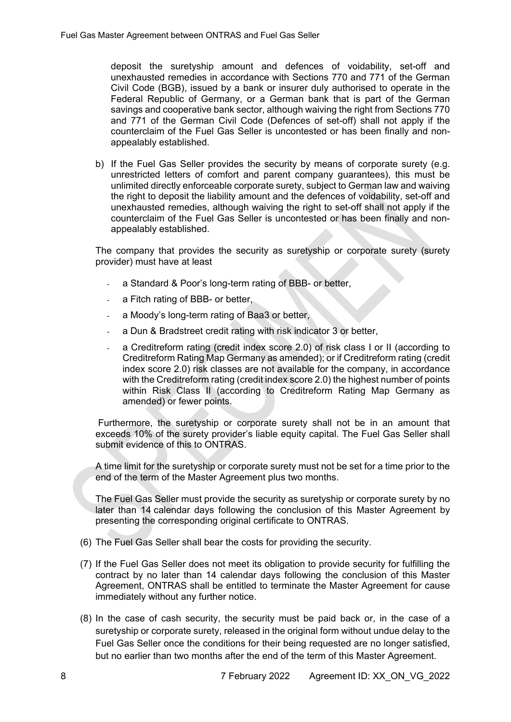deposit the suretyship amount and defences of voidability, set-off and unexhausted remedies in accordance with Sections 770 and 771 of the German Civil Code (BGB), issued by a bank or insurer duly authorised to operate in the Federal Republic of Germany, or a German bank that is part of the German savings and cooperative bank sector, although waiving the right from Sections 770 and 771 of the German Civil Code (Defences of set-off) shall not apply if the counterclaim of the Fuel Gas Seller is uncontested or has been finally and nonappealably established.

b) If the Fuel Gas Seller provides the security by means of corporate surety (e.g. unrestricted letters of comfort and parent company guarantees), this must be unlimited directly enforceable corporate surety, subject to German law and waiving the right to deposit the liability amount and the defences of voidability, set-off and unexhausted remedies, although waiving the right to set-off shall not apply if the counterclaim of the Fuel Gas Seller is uncontested or has been finally and nonappealably established.

The company that provides the security as suretyship or corporate surety (surety provider) must have at least

- a Standard & Poor's long-term rating of BBB- or better,
- a Fitch rating of BBB- or better,
- a Moody's long-term rating of Baa3 or better.
- a Dun & Bradstreet credit rating with risk indicator 3 or better,
- a Creditreform rating (credit index score 2.0) of risk class I or II (according to Creditreform Rating Map Germany as amended); or if Creditreform rating (credit index score 2.0) risk classes are not available for the company, in accordance with the Creditreform rating (credit index score 2.0) the highest number of points within Risk Class II (according to Creditreform Rating Map Germany as amended) or fewer points.

 Furthermore, the suretyship or corporate surety shall not be in an amount that exceeds 10% of the surety provider's liable equity capital. The Fuel Gas Seller shall submit evidence of this to ONTRAS.

A time limit for the suretyship or corporate surety must not be set for a time prior to the end of the term of the Master Agreement plus two months.

The Fuel Gas Seller must provide the security as suretyship or corporate surety by no later than 14 calendar days following the conclusion of this Master Agreement by presenting the corresponding original certificate to ONTRAS.

- (6) The Fuel Gas Seller shall bear the costs for providing the security.
- (7) If the Fuel Gas Seller does not meet its obligation to provide security for fulfilling the contract by no later than 14 calendar days following the conclusion of this Master Agreement, ONTRAS shall be entitled to terminate the Master Agreement for cause immediately without any further notice.
- (8) In the case of cash security, the security must be paid back or, in the case of a suretyship or corporate surety, released in the original form without undue delay to the Fuel Gas Seller once the conditions for their being requested are no longer satisfied, but no earlier than two months after the end of the term of this Master Agreement.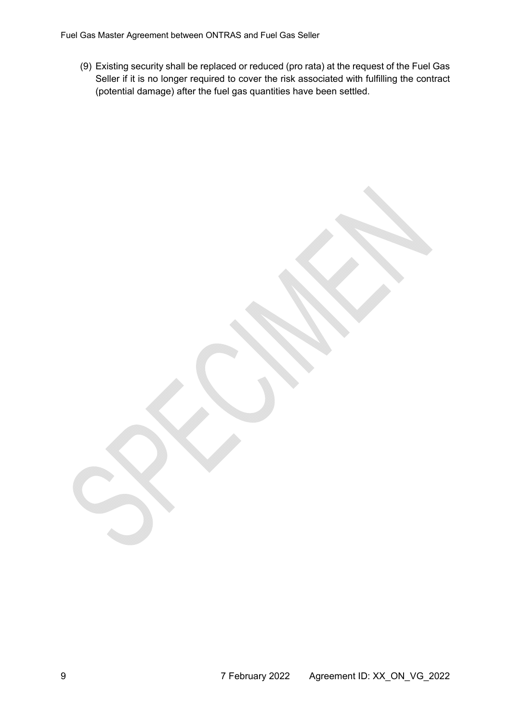Fuel Gas Master Agreement between ONTRAS and Fuel Gas Seller

(9) Existing security shall be replaced or reduced (pro rata) at the request of the Fuel Gas Seller if it is no longer required to cover the risk associated with fulfilling the contract (potential damage) after the fuel gas quantities have been settled.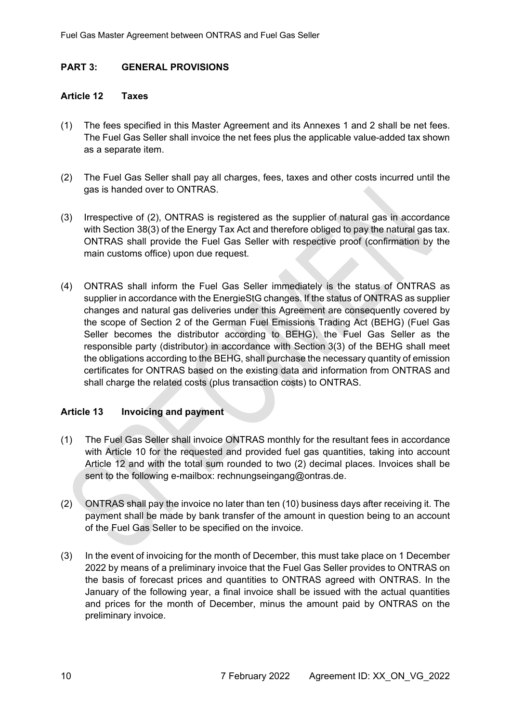# **PART 3: GENERAL PROVISIONS**

#### **Article 12 Taxes**

- (1) The fees specified in this Master Agreement and its Annexes 1 and 2 shall be net fees. The Fuel Gas Seller shall invoice the net fees plus the applicable value-added tax shown as a separate item.
- (2) The Fuel Gas Seller shall pay all charges, fees, taxes and other costs incurred until the gas is handed over to ONTRAS.
- (3) Irrespective of (2), ONTRAS is registered as the supplier of natural gas in accordance with Section 38(3) of the Energy Tax Act and therefore obliged to pay the natural gas tax. ONTRAS shall provide the Fuel Gas Seller with respective proof (confirmation by the main customs office) upon due request.
- (4) ONTRAS shall inform the Fuel Gas Seller immediately is the status of ONTRAS as supplier in accordance with the EnergieStG changes. If the status of ONTRAS as supplier changes and natural gas deliveries under this Agreement are consequently covered by the scope of Section 2 of the German Fuel Emissions Trading Act (BEHG) (Fuel Gas Seller becomes the distributor according to BEHG), the Fuel Gas Seller as the responsible party (distributor) in accordance with Section 3(3) of the BEHG shall meet the obligations according to the BEHG, shall purchase the necessary quantity of emission certificates for ONTRAS based on the existing data and information from ONTRAS and shall charge the related costs (plus transaction costs) to ONTRAS.

#### **Article 13 Invoicing and payment**

- (1) The Fuel Gas Seller shall invoice ONTRAS monthly for the resultant fees in accordance with Article 10 for the requested and provided fuel gas quantities, taking into account Article 12 and with the total sum rounded to two (2) decimal places. Invoices shall be sent to the following e-mailbox: rechnungseingang@ontras.de.
- (2) ONTRAS shall pay the invoice no later than ten (10) business days after receiving it. The payment shall be made by bank transfer of the amount in question being to an account of the Fuel Gas Seller to be specified on the invoice.
- (3) In the event of invoicing for the month of December, this must take place on 1 December 2022 by means of a preliminary invoice that the Fuel Gas Seller provides to ONTRAS on the basis of forecast prices and quantities to ONTRAS agreed with ONTRAS. In the January of the following year, a final invoice shall be issued with the actual quantities and prices for the month of December, minus the amount paid by ONTRAS on the preliminary invoice.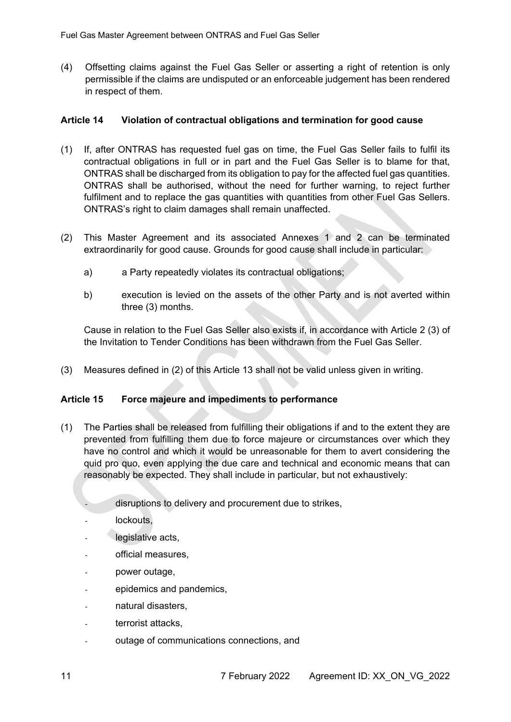(4) Offsetting claims against the Fuel Gas Seller or asserting a right of retention is only permissible if the claims are undisputed or an enforceable judgement has been rendered in respect of them.

### **Article 14 Violation of contractual obligations and termination for good cause**

- (1) If, after ONTRAS has requested fuel gas on time, the Fuel Gas Seller fails to fulfil its contractual obligations in full or in part and the Fuel Gas Seller is to blame for that, ONTRAS shall be discharged from its obligation to pay for the affected fuel gas quantities. ONTRAS shall be authorised, without the need for further warning, to reject further fulfilment and to replace the gas quantities with quantities from other Fuel Gas Sellers. ONTRAS's right to claim damages shall remain unaffected.
- (2) This Master Agreement and its associated Annexes 1 and 2 can be terminated extraordinarily for good cause. Grounds for good cause shall include in particular:
	- a) a Party repeatedly violates its contractual obligations;
	- b) execution is levied on the assets of the other Party and is not averted within three (3) months.

Cause in relation to the Fuel Gas Seller also exists if, in accordance with Article 2 (3) of the Invitation to Tender Conditions has been withdrawn from the Fuel Gas Seller.

(3) Measures defined in (2) of this Article 13 shall not be valid unless given in writing.

# **Article 15 Force majeure and impediments to performance**

- (1) The Parties shall be released from fulfilling their obligations if and to the extent they are prevented from fulfilling them due to force majeure or circumstances over which they have no control and which it would be unreasonable for them to avert considering the quid pro quo, even applying the due care and technical and economic means that can reasonably be expected. They shall include in particular, but not exhaustively:
	- disruptions to delivery and procurement due to strikes,
	- lockouts.
	- legislative acts,
	- official measures,
	- power outage.
	- epidemics and pandemics,
	- natural disasters.
	- terrorist attacks,
	- outage of communications connections, and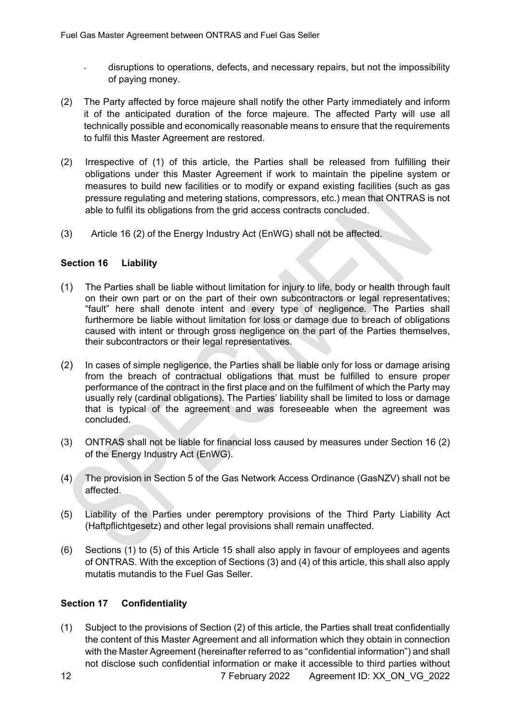- disruptions to operations, defects, and necessary repairs, but not the impossibility of paying money.
- (2) The Party affected by force majeure shall notify the other Party immediately and inform it of the anticipated duration of the force majeure. The affected Party will use all technically possible and economically reasonable means to ensure that the requirements to fulfil this Master Agreement are restored.
- (2) Irrespective of (1) of this article, the Parties shall be released from fulfilling their obligations under this Master Agreement if work to maintain the pipeline system or measures to build new facilities or to modify or expand existing facilities (such as gas pressure regulating and metering stations, compressors, etc.) mean that ONTRAS is not able to fulfil its obligations from the grid access contracts concluded.
- (3) Article 16 (2) of the Energy Industry Act (EnWG) shall not be affected.

# **Section 16 Liability**

- (1) The Parties shall be liable without limitation for injury to life, body or health through fault on their own part or on the part of their own subcontractors or legal representatives; "fault" here shall denote intent and every type of negligence. The Parties shall furthermore be liable without limitation for loss or damage due to breach of obligations caused with intent or through gross negligence on the part of the Parties themselves, their subcontractors or their legal representatives.
- (2) In cases of simple negligence, the Parties shall be liable only for loss or damage arising from the breach of contractual obligations that must be fulfilled to ensure proper performance of the contract in the first place and on the fulfilment of which the Party may usually rely (cardinal obligations). The Parties' liability shall be limited to loss or damage that is typical of the agreement and was foreseeable when the agreement was concluded.
- (3) ONTRAS shall not be liable for financial loss caused by measures under Section 16 (2) of the Energy Industry Act (EnWG).
- (4) The provision in Section 5 of the Gas Network Access Ordinance (GasNZV) shall not be affected.
- (5) Liability of the Parties under peremptory provisions of the Third Party Liability Act (Haftpflichtgesetz) and other legal provisions shall remain unaffected.
- (6) Sections (1) to (5) of this Article 15 shall also apply in favour of employees and agents of ONTRAS. With the exception of Sections (3) and (4) of this article, this shall also apply mutatis mutandis to the Fuel Gas Seller.

# **Section 17 Confidentiality**

(1) Subject to the provisions of Section (2) of this article, the Parties shall treat confidentially the content of this Master Agreement and all information which they obtain in connection with the Master Agreement (hereinafter referred to as "confidential information") and shall not disclose such confidential information or make it accessible to third parties without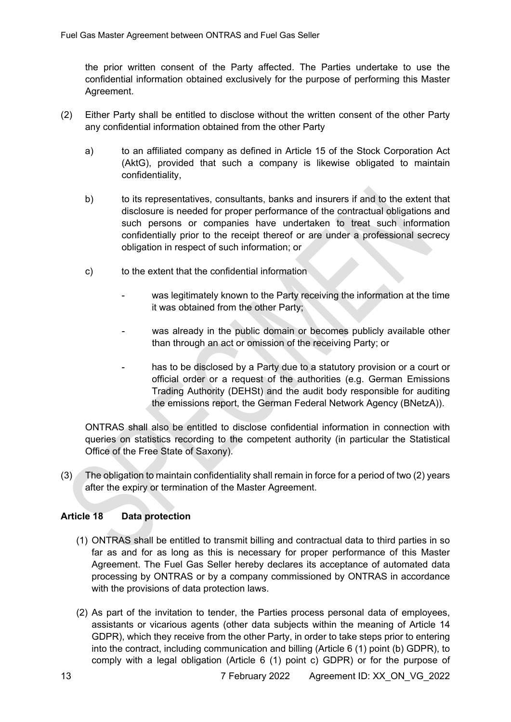the prior written consent of the Party affected. The Parties undertake to use the confidential information obtained exclusively for the purpose of performing this Master Agreement.

- (2) Either Party shall be entitled to disclose without the written consent of the other Party any confidential information obtained from the other Party
	- a) to an affiliated company as defined in Article 15 of the Stock Corporation Act (AktG), provided that such a company is likewise obligated to maintain confidentiality,
	- b) to its representatives, consultants, banks and insurers if and to the extent that disclosure is needed for proper performance of the contractual obligations and such persons or companies have undertaken to treat such information confidentially prior to the receipt thereof or are under a professional secrecy obligation in respect of such information; or
	- c) to the extent that the confidential information
		- was legitimately known to the Party receiving the information at the time it was obtained from the other Party;
		- was already in the public domain or becomes publicly available other than through an act or omission of the receiving Party; or
		- has to be disclosed by a Party due to a statutory provision or a court or official order or a request of the authorities (e.g. German Emissions Trading Authority (DEHSt) and the audit body responsible for auditing the emissions report, the German Federal Network Agency (BNetzA)).

ONTRAS shall also be entitled to disclose confidential information in connection with queries on statistics recording to the competent authority (in particular the Statistical Office of the Free State of Saxony).

(3) The obligation to maintain confidentiality shall remain in force for a period of two (2) years after the expiry or termination of the Master Agreement.

# **Article 18 Data protection**

- (1) ONTRAS shall be entitled to transmit billing and contractual data to third parties in so far as and for as long as this is necessary for proper performance of this Master Agreement. The Fuel Gas Seller hereby declares its acceptance of automated data processing by ONTRAS or by a company commissioned by ONTRAS in accordance with the provisions of data protection laws.
- (2) As part of the invitation to tender, the Parties process personal data of employees, assistants or vicarious agents (other data subjects within the meaning of Article 14 GDPR), which they receive from the other Party, in order to take steps prior to entering into the contract, including communication and billing (Article 6 (1) point (b) GDPR), to comply with a legal obligation (Article 6 (1) point c) GDPR) or for the purpose of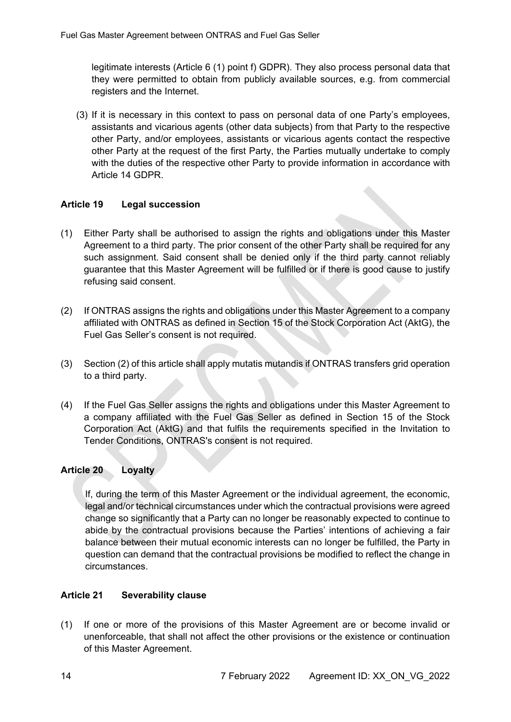legitimate interests (Article 6 (1) point f) GDPR). They also process personal data that they were permitted to obtain from publicly available sources, e.g. from commercial registers and the Internet.

(3) If it is necessary in this context to pass on personal data of one Party's employees, assistants and vicarious agents (other data subjects) from that Party to the respective other Party, and/or employees, assistants or vicarious agents contact the respective other Party at the request of the first Party, the Parties mutually undertake to comply with the duties of the respective other Party to provide information in accordance with Article 14 GDPR.

### **Article 19 Legal succession**

- (1) Either Party shall be authorised to assign the rights and obligations under this Master Agreement to a third party. The prior consent of the other Party shall be required for any such assignment. Said consent shall be denied only if the third party cannot reliably guarantee that this Master Agreement will be fulfilled or if there is good cause to justify refusing said consent.
- (2) If ONTRAS assigns the rights and obligations under this Master Agreement to a company affiliated with ONTRAS as defined in Section 15 of the Stock Corporation Act (AktG), the Fuel Gas Seller's consent is not required.
- (3) Section (2) of this article shall apply mutatis mutandis if ONTRAS transfers grid operation to a third party.
- (4) If the Fuel Gas Seller assigns the rights and obligations under this Master Agreement to a company affiliated with the Fuel Gas Seller as defined in Section 15 of the Stock Corporation Act (AktG) and that fulfils the requirements specified in the Invitation to Tender Conditions, ONTRAS's consent is not required.

#### **Article 20 Loyalty**

If, during the term of this Master Agreement or the individual agreement, the economic, legal and/or technical circumstances under which the contractual provisions were agreed change so significantly that a Party can no longer be reasonably expected to continue to abide by the contractual provisions because the Parties' intentions of achieving a fair balance between their mutual economic interests can no longer be fulfilled, the Party in question can demand that the contractual provisions be modified to reflect the change in circumstances.

### **Article 21 Severability clause**

(1) If one or more of the provisions of this Master Agreement are or become invalid or unenforceable, that shall not affect the other provisions or the existence or continuation of this Master Agreement.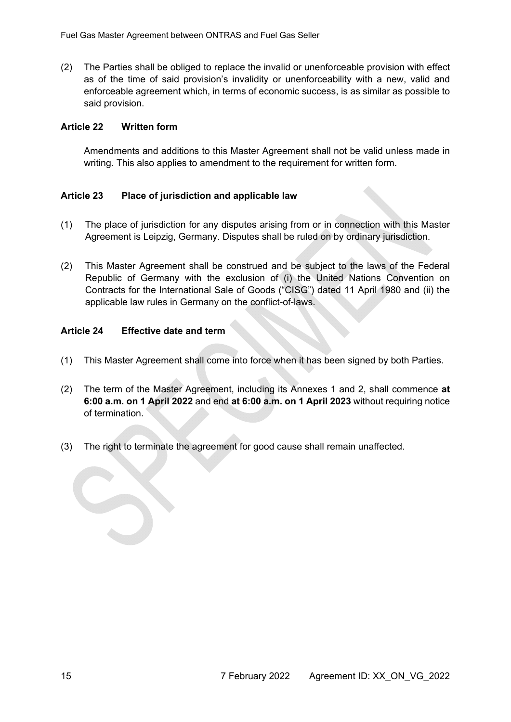(2) The Parties shall be obliged to replace the invalid or unenforceable provision with effect as of the time of said provision's invalidity or unenforceability with a new, valid and enforceable agreement which, in terms of economic success, is as similar as possible to said provision.

### **Article 22 Written form**

Amendments and additions to this Master Agreement shall not be valid unless made in writing. This also applies to amendment to the requirement for written form.

# **Article 23 Place of jurisdiction and applicable law**

- (1) The place of jurisdiction for any disputes arising from or in connection with this Master Agreement is Leipzig, Germany. Disputes shall be ruled on by ordinary jurisdiction.
- (2) This Master Agreement shall be construed and be subject to the laws of the Federal Republic of Germany with the exclusion of (i) the United Nations Convention on Contracts for the International Sale of Goods ("CISG") dated 11 April 1980 and (ii) the applicable law rules in Germany on the conflict-of-laws.

### **Article 24 Effective date and term**

- (1) This Master Agreement shall come into force when it has been signed by both Parties.
- (2) The term of the Master Agreement, including its Annexes 1 and 2, shall commence **at 6:00 a.m. on 1 April 2022** and end **at 6:00 a.m. on 1 April 2023** without requiring notice of termination.
- (3) The right to terminate the agreement for good cause shall remain unaffected.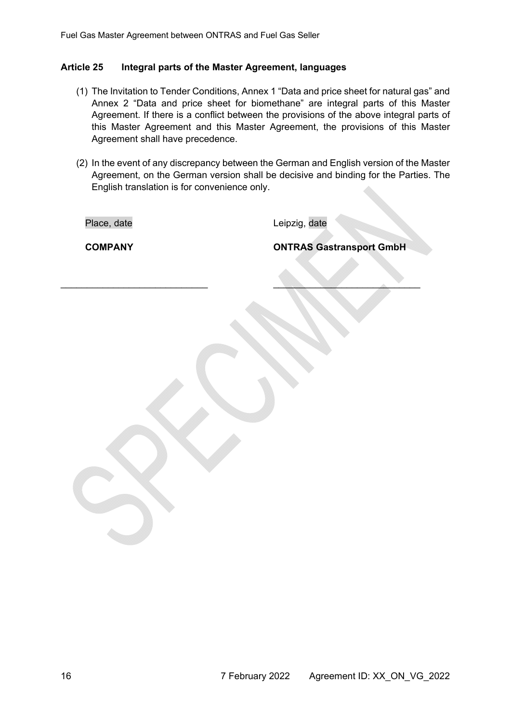#### **Article 25 Integral parts of the Master Agreement, languages**

- (1) The Invitation to Tender Conditions, Annex 1 "Data and price sheet for natural gas" and Annex 2 "Data and price sheet for biomethane" are integral parts of this Master Agreement. If there is a conflict between the provisions of the above integral parts of this Master Agreement and this Master Agreement, the provisions of this Master Agreement shall have precedence.
- (2) In the event of any discrepancy between the German and English version of the Master Agreement, on the German version shall be decisive and binding for the Parties. The English translation is for convenience only.

 $\mathcal{L} = \mathcal{L} \mathcal{L} = \mathcal{L} \mathcal{L} = \mathcal{L} \mathcal{L} = \mathcal{L} \mathcal{L} = \mathcal{L} \mathcal{L} = \mathcal{L} \mathcal{L} = \mathcal{L} \mathcal{L} = \mathcal{L} \mathcal{L} = \mathcal{L} \mathcal{L} = \mathcal{L} \mathcal{L} = \mathcal{L} \mathcal{L} = \mathcal{L} \mathcal{L} = \mathcal{L} \mathcal{L} = \mathcal{L} \mathcal{L} = \mathcal{L} \mathcal{L} = \mathcal{L} \mathcal{L} = \mathcal{L$ 

Place, date and the control of the Leipzig, date

**COMPANY COMPANY ONTRAS Gastransport GmbH**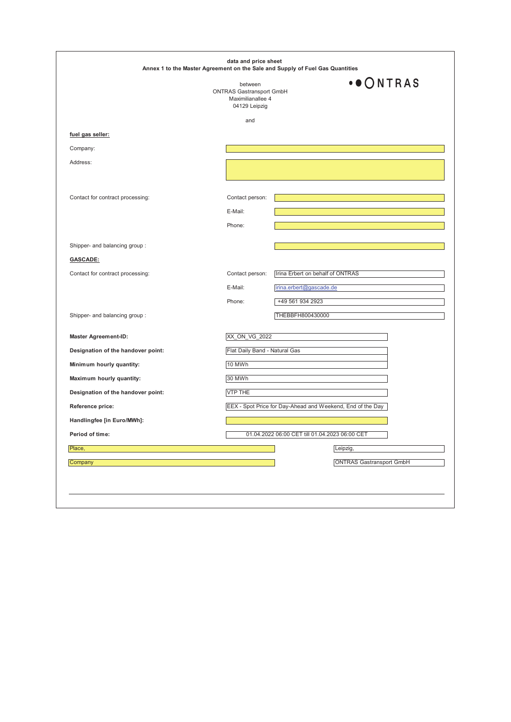|                                    | between<br><b>ONTRAS Gastransport GmbH</b><br>Maximilianallee 4<br>04129 Leipzig | $\cdot \bullet$ ONTRAS                                     |  |
|------------------------------------|----------------------------------------------------------------------------------|------------------------------------------------------------|--|
|                                    | and                                                                              |                                                            |  |
| fuel gas seller:                   |                                                                                  |                                                            |  |
| Company:                           |                                                                                  |                                                            |  |
| Address:                           |                                                                                  |                                                            |  |
| Contact for contract processing:   | Contact person:                                                                  |                                                            |  |
|                                    | E-Mail:                                                                          |                                                            |  |
|                                    | Phone:                                                                           |                                                            |  |
| Shipper- and balancing group:      |                                                                                  |                                                            |  |
| <b>GASCADE:</b>                    |                                                                                  |                                                            |  |
| Contact for contract processing:   | Contact person:                                                                  | Irina Erbert on behalf of ONTRAS                           |  |
|                                    | E-Mail:                                                                          | irina.erbert@gascade.de                                    |  |
|                                    | Phone:                                                                           | +49 561 934 2923                                           |  |
| Shipper- and balancing group:      |                                                                                  | THEBBFH800430000                                           |  |
| <b>Master Agreement-ID:</b>        | XX_ON_VG_2022                                                                    |                                                            |  |
| Designation of the handover point: |                                                                                  | Flat Daily Band - Natural Gas                              |  |
| Minimum hourly quantity:           | 10 MWh                                                                           |                                                            |  |
| Maximum hourly quantity:           | 30 MWh                                                                           |                                                            |  |
| Designation of the handover point: | <b>VTP THE</b>                                                                   |                                                            |  |
| Reference price:                   |                                                                                  | EEX - Spot Price for Day-Ahead and Weekend, End of the Day |  |
| Handlingfee [in Euro/MWh]:         |                                                                                  |                                                            |  |
| Period of time:                    |                                                                                  | 01.04.2022 06:00 CET till 01.04.2023 06:00 CET             |  |
| Place,                             |                                                                                  | Leipzig                                                    |  |
| Company                            |                                                                                  | <b>ONTRAS Gastransport GmbH</b>                            |  |